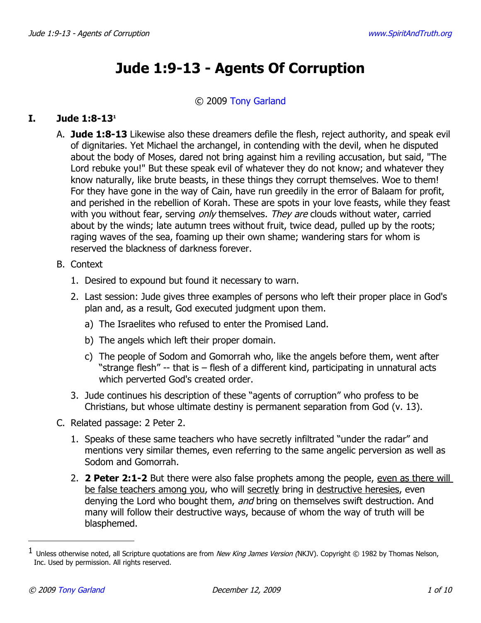# **Jude 1:9-13 - Agents Of Corruption**

## © 2009 [Tony Garland](http://www.spiritandtruth.org/id/tg.htm)

# **I. Jude 1:8-13[1](#page-0-0)**

- A. **Jude 1:8-13** Likewise also these dreamers defile the flesh, reject authority, and speak evil of dignitaries. Yet Michael the archangel, in contending with the devil, when he disputed about the body of Moses, dared not bring against him a reviling accusation, but said, "The Lord rebuke you!" But these speak evil of whatever they do not know; and whatever they know naturally, like brute beasts, in these things they corrupt themselves. Woe to them! For they have gone in the way of Cain, have run greedily in the error of Balaam for profit, and perished in the rebellion of Korah. These are spots in your love feasts, while they feast with you without fear, serving only themselves. They are clouds without water, carried about by the winds; late autumn trees without fruit, twice dead, pulled up by the roots; raging waves of the sea, foaming up their own shame; wandering stars for whom is reserved the blackness of darkness forever.
- B. Context
	- 1. Desired to expound but found it necessary to warn.
	- 2. Last session: Jude gives three examples of persons who left their proper place in God's plan and, as a result, God executed judgment upon them.
		- a) The Israelites who refused to enter the Promised Land.
		- b) The angels which left their proper domain.
		- c) The people of Sodom and Gomorrah who, like the angels before them, went after "strange flesh" -- that is – flesh of a different kind, participating in unnatural acts which perverted God's created order.
	- 3. Jude continues his description of these "agents of corruption" who profess to be Christians, but whose ultimate destiny is permanent separation from God (v. 13).
- C. Related passage: 2 Peter 2.
	- 1. Speaks of these same teachers who have secretly infiltrated "under the radar" and mentions very similar themes, even referring to the same angelic perversion as well as Sodom and Gomorrah.
	- 2. **2 Peter 2:1-2** But there were also false prophets among the people, even as there will be false teachers among you, who will secretly bring in destructive heresies, even denying the Lord who bought them, and bring on themselves swift destruction. And many will follow their destructive ways, because of whom the way of truth will be blasphemed.

<span id="page-0-0"></span> $^1$  Unless otherwise noted, all Scripture quotations are from *New King James Version (*NKJV). Copyright © 1982 by Thomas Nelson, Inc. Used by permission. All rights reserved.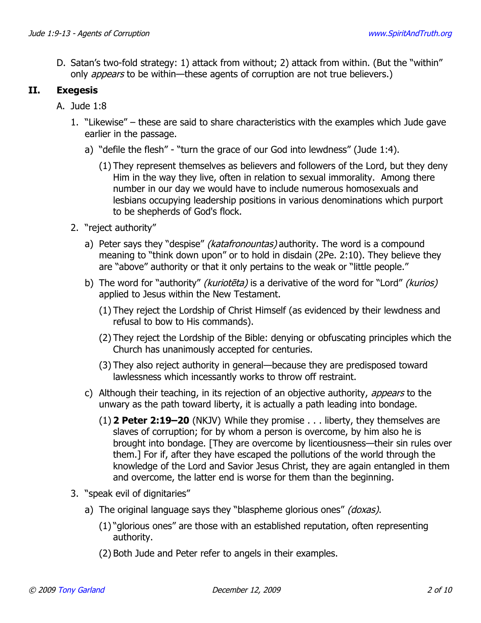D. Satan's two-fold strategy: 1) attack from without; 2) attack from within. (But the "within" only *appears* to be within—these agents of corruption are not true believers.)

## **II. Exegesis**

- A. Jude 1:8
	- 1. "Likewise" these are said to share characteristics with the examples which Jude gave earlier in the passage.
		- a) "defile the flesh" "turn the grace of our God into lewdness" (Jude 1:4).
			- (1) They represent themselves as believers and followers of the Lord, but they deny Him in the way they live, often in relation to sexual immorality. Among there number in our day we would have to include numerous homosexuals and lesbians occupying leadership positions in various denominations which purport to be shepherds of God's flock.
	- 2. "reject authority"
		- a) Peter says they "despise" *(katafronountas)* authority. The word is a compound meaning to "think down upon" or to hold in disdain (2Pe. 2:10). They believe they are "above" authority or that it only pertains to the weak or "little people."
		- b) The word for "authority" (kurioteta) is a derivative of the word for "Lord" (kurios) applied to Jesus within the New Testament.
			- (1) They reject the Lordship of Christ Himself (as evidenced by their lewdness and refusal to bow to His commands).
			- (2) They reject the Lordship of the Bible: denying or obfuscating principles which the Church has unanimously accepted for centuries.
			- (3) They also reject authority in general—because they are predisposed toward lawlessness which incessantly works to throw off restraint.
		- c) Although their teaching, in its rejection of an objective authority, *appears* to the unwary as the path toward liberty, it is actually a path leading into bondage.
			- (1) **2 Peter 2:19–20** (NKJV) While they promise . . . liberty, they themselves are slaves of corruption; for by whom a person is overcome, by him also he is brought into bondage. [They are overcome by licentiousness—their sin rules over them.] For if, after they have escaped the pollutions of the world through the knowledge of the Lord and Savior Jesus Christ, they are again entangled in them and overcome, the latter end is worse for them than the beginning.
	- 3. "speak evil of dignitaries"
		- a) The original language says they "blaspheme glorious ones" (doxas).
			- (1) "glorious ones" are those with an established reputation, often representing authority.
			- (2) Both Jude and Peter refer to angels in their examples.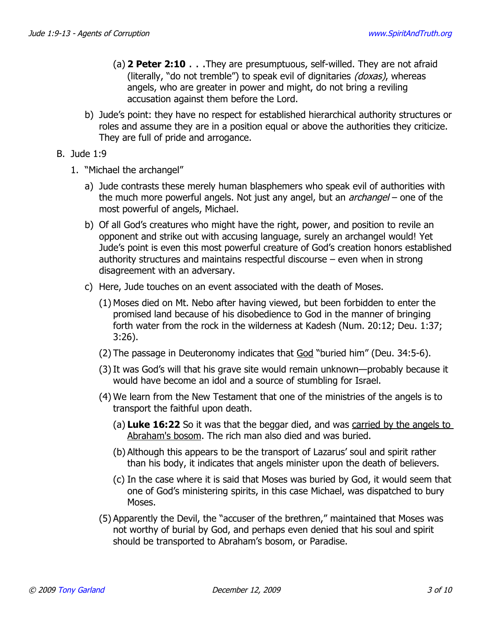- (a) **2 Peter 2:10** . . .They are presumptuous, self-willed. They are not afraid (literally, "do not tremble") to speak evil of dignitaries (doxas), whereas angels, who are greater in power and might, do not bring a reviling accusation against them before the Lord.
- b) Jude's point: they have no respect for established hierarchical authority structures or roles and assume they are in a position equal or above the authorities they criticize. They are full of pride and arrogance.
- B. Jude 1:9
	- 1. "Michael the archangel"
		- a) Jude contrasts these merely human blasphemers who speak evil of authorities with the much more powerful angels. Not just any angel, but an  $\alpha r$ changel – one of the most powerful of angels, Michael.
		- b) Of all God's creatures who might have the right, power, and position to revile an opponent and strike out with accusing language, surely an archangel would! Yet Jude's point is even this most powerful creature of God's creation honors established authority structures and maintains respectful discourse – even when in strong disagreement with an adversary.
		- c) Here, Jude touches on an event associated with the death of Moses.
			- (1) Moses died on Mt. Nebo after having viewed, but been forbidden to enter the promised land because of his disobedience to God in the manner of bringing forth water from the rock in the wilderness at Kadesh (Num. 20:12; Deu. 1:37; 3:26).
			- (2) The passage in Deuteronomy indicates that God "buried him" (Deu. 34:5-6).
			- (3) It was God's will that his grave site would remain unknown—probably because it would have become an idol and a source of stumbling for Israel.
			- (4) We learn from the New Testament that one of the ministries of the angels is to transport the faithful upon death.
				- (a) **Luke 16:22** So it was that the beggar died, and was carried by the angels to Abraham's bosom. The rich man also died and was buried.
				- (b) Although this appears to be the transport of Lazarus' soul and spirit rather than his body, it indicates that angels minister upon the death of believers.
				- (c) In the case where it is said that Moses was buried by God, it would seem that one of God's ministering spirits, in this case Michael, was dispatched to bury Moses.
			- (5) Apparently the Devil, the "accuser of the brethren," maintained that Moses was not worthy of burial by God, and perhaps even denied that his soul and spirit should be transported to Abraham's bosom, or Paradise.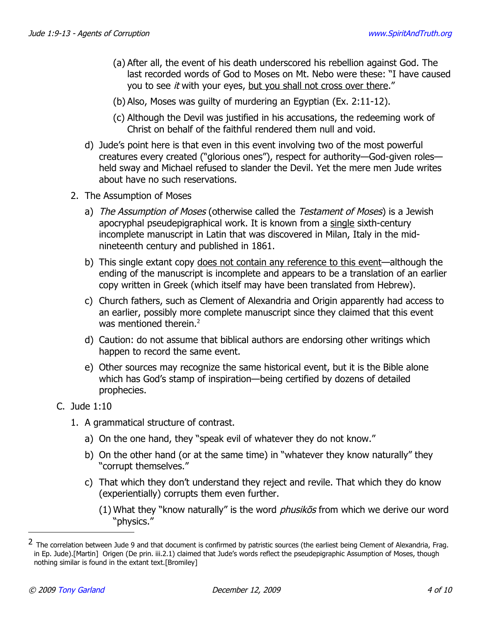- (a) After all, the event of his death underscored his rebellion against God. The last recorded words of God to Moses on Mt. Nebo were these: "I have caused you to see *it* with your eyes, but you shall not cross over there."
- (b) Also, Moses was guilty of murdering an Egyptian (Ex. 2:11-12).
- (c) Although the Devil was justified in his accusations, the redeeming work of Christ on behalf of the faithful rendered them null and void.
- d) Jude's point here is that even in this event involving two of the most powerful creatures every created ("glorious ones"), respect for authority—God-given roles held sway and Michael refused to slander the Devil. Yet the mere men Jude writes about have no such reservations.
- 2. The Assumption of Moses
	- a) The Assumption of Moses (otherwise called the Testament of Moses) is a Jewish apocryphal pseudepigraphical work. It is known from a single sixth-century incomplete manuscript in Latin that was discovered in Milan, Italy in the midnineteenth century and published in 1861.
	- b) This single extant copy does not contain any reference to this event—although the ending of the manuscript is incomplete and appears to be a translation of an earlier copy written in Greek (which itself may have been translated from Hebrew).
	- c) Church fathers, such as Clement of Alexandria and Origin apparently had access to an earlier, possibly more complete manuscript since they claimed that this event was mentioned therein. $2$
	- d) Caution: do not assume that biblical authors are endorsing other writings which happen to record the same event.
	- e) Other sources may recognize the same historical event, but it is the Bible alone which has God's stamp of inspiration—being certified by dozens of detailed prophecies.

#### C. Jude 1:10

- 1. A grammatical structure of contrast.
	- a) On the one hand, they "speak evil of whatever they do not know."
	- b) On the other hand (or at the same time) in "whatever they know naturally" they "corrupt themselves."
	- c) That which they don't understand they reject and revile. That which they do know (experientially) corrupts them even further.
		- (1) What they "know naturally" is the word  $phusik\bar{o}s$  from which we derive our word "physics."

<span id="page-3-0"></span><sup>&</sup>lt;sup>2</sup> The correlation between Jude 9 and that document is confirmed by patristic sources (the earliest being Clement of Alexandria, Frag. in Ep. Jude).[Martin] Origen (De prin. iii.2.1) claimed that Jude's words reflect the pseudepigraphic Assumption of Moses, though nothing similar is found in the extant text.[Bromiley]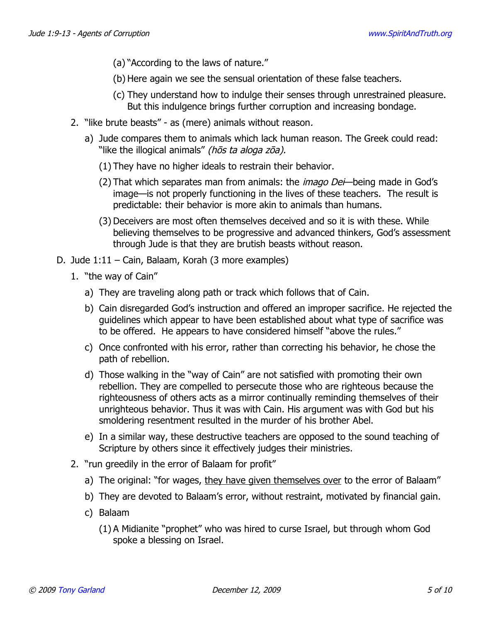- (a) "According to the laws of nature."
- (b) Here again we see the sensual orientation of these false teachers.
- (c) They understand how to indulge their senses through unrestrained pleasure. But this indulgence brings further corruption and increasing bondage.
- 2. "like brute beasts" as (mere) animals without reason.
	- a) Jude compares them to animals which lack human reason. The Greek could read: "like the illogical animals" (hos ta aloga zoa).
		- (1) They have no higher ideals to restrain their behavior.
		- (2) That which separates man from animals: the *imago Dei*—being made in God's image—is not properly functioning in the lives of these teachers. The result is predictable: their behavior is more akin to animals than humans.
		- (3) Deceivers are most often themselves deceived and so it is with these. While believing themselves to be progressive and advanced thinkers, God's assessment through Jude is that they are brutish beasts without reason.
- D. Jude 1:11 Cain, Balaam, Korah (3 more examples)
	- 1. "the way of Cain"
		- a) They are traveling along path or track which follows that of Cain.
		- b) Cain disregarded God's instruction and offered an improper sacrifice. He rejected the guidelines which appear to have been established about what type of sacrifice was to be offered. He appears to have considered himself "above the rules."
		- c) Once confronted with his error, rather than correcting his behavior, he chose the path of rebellion.
		- d) Those walking in the "way of Cain" are not satisfied with promoting their own rebellion. They are compelled to persecute those who are righteous because the righteousness of others acts as a mirror continually reminding themselves of their unrighteous behavior. Thus it was with Cain. His argument was with God but his smoldering resentment resulted in the murder of his brother Abel.
		- e) In a similar way, these destructive teachers are opposed to the sound teaching of Scripture by others since it effectively judges their ministries.
	- 2. "run greedily in the error of Balaam for profit"
		- a) The original: "for wages, they have given themselves over to the error of Balaam"
		- b) They are devoted to Balaam's error, without restraint, motivated by financial gain.
		- c) Balaam
			- (1) A Midianite "prophet" who was hired to curse Israel, but through whom God spoke a blessing on Israel.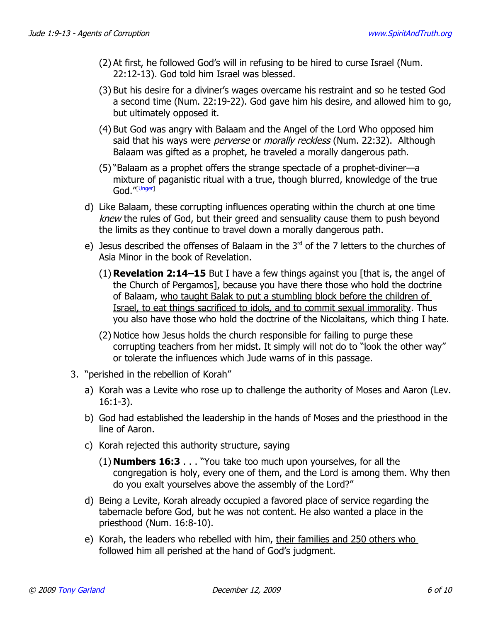- (2) At first, he followed God's will in refusing to be hired to curse Israel (Num. 22:12-13). God told him Israel was blessed.
- (3) But his desire for a diviner's wages overcame his restraint and so he tested God a second time (Num. 22:19-22). God gave him his desire, and allowed him to go, but ultimately opposed it.
- (4) But God was angry with Balaam and the Angel of the Lord Who opposed him said that his ways were *perverse* or *morally reckless* (Num. 22:32). Although Balaam was gifted as a prophet, he traveled a morally dangerous path.
- (5) "Balaam as a prophet offers the strange spectacle of a prophet-diviner—a mixture of paganistic ritual with a true, though blurred, knowledge of the true God."[\[Unger\]](#page-9-0)
- d) Like Balaam, these corrupting influences operating within the church at one time knew the rules of God, but their greed and sensuality cause them to push beyond the limits as they continue to travel down a morally dangerous path.
- e) Jesus described the offenses of Balaam in the  $3<sup>rd</sup>$  of the 7 letters to the churches of Asia Minor in the book of Revelation.
	- (1) **Revelation 2:14–15** But I have a few things against you [that is, the angel of the Church of Pergamos], because you have there those who hold the doctrine of Balaam, who taught Balak to put a stumbling block before the children of Israel, to eat things sacrificed to idols, and to commit sexual immorality. Thus you also have those who hold the doctrine of the Nicolaitans, which thing I hate.
	- (2) Notice how Jesus holds the church responsible for failing to purge these corrupting teachers from her midst. It simply will not do to "look the other way" or tolerate the influences which Jude warns of in this passage.
- 3. "perished in the rebellion of Korah"
	- a) Korah was a Levite who rose up to challenge the authority of Moses and Aaron (Lev. 16:1-3).
	- b) God had established the leadership in the hands of Moses and the priesthood in the line of Aaron.
	- c) Korah rejected this authority structure, saying
		- (1) **Numbers 16:3** . . . "You take too much upon yourselves, for all the congregation is holy, every one of them, and the Lord is among them. Why then do you exalt yourselves above the assembly of the Lord?"
	- d) Being a Levite, Korah already occupied a favored place of service regarding the tabernacle before God, but he was not content. He also wanted a place in the priesthood (Num. 16:8-10).
	- e) Korah, the leaders who rebelled with him, their families and 250 others who followed him all perished at the hand of God's judgment.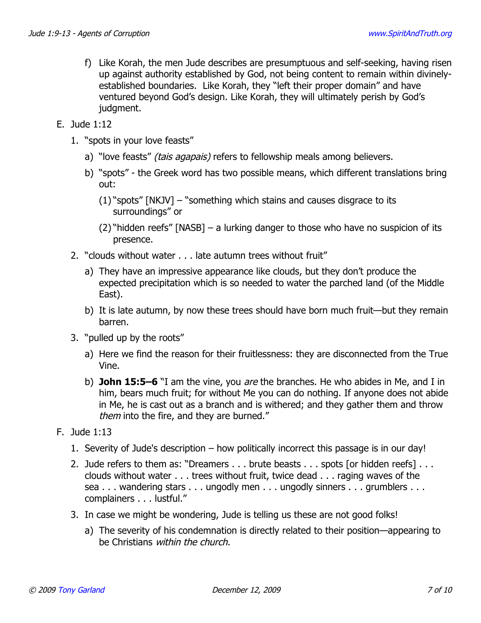- f) Like Korah, the men Jude describes are presumptuous and self-seeking, having risen up against authority established by God, not being content to remain within divinelyestablished boundaries. Like Korah, they "left their proper domain" and have ventured beyond God's design. Like Korah, they will ultimately perish by God's judgment.
- E. Jude 1:12
	- 1. "spots in your love feasts"
		- a) "love feasts" *(tais agapais)* refers to fellowship meals among believers.
		- b) "spots" the Greek word has two possible means, which different translations bring out:
			- (1) "spots" [NKJV] "something which stains and causes disgrace to its surroundings" or
			- (2) "hidden reefs" [NASB] a lurking danger to those who have no suspicion of its presence.
	- 2. "clouds without water . . . late autumn trees without fruit"
		- a) They have an impressive appearance like clouds, but they don't produce the expected precipitation which is so needed to water the parched land (of the Middle East).
		- b) It is late autumn, by now these trees should have born much fruit—but they remain barren.
	- 3. "pulled up by the roots"
		- a) Here we find the reason for their fruitlessness: they are disconnected from the True Vine.
		- b) **John 15:5–6** "I am the vine, you are the branches. He who abides in Me, and I in him, bears much fruit; for without Me you can do nothing. If anyone does not abide in Me, he is cast out as a branch and is withered; and they gather them and throw them into the fire, and they are burned."
- F. Jude 1:13
	- 1. Severity of Jude's description how politically incorrect this passage is in our day!
	- 2. Jude refers to them as: "Dreamers . . . brute beasts . . . spots [or hidden reefs] . . . clouds without water . . . trees without fruit, twice dead . . . raging waves of the sea . . . wandering stars . . . ungodly men . . . ungodly sinners . . . grumblers . . . complainers . . . lustful."
	- 3. In case we might be wondering, Jude is telling us these are not good folks!
		- a) The severity of his condemnation is directly related to their position—appearing to be Christians within the church.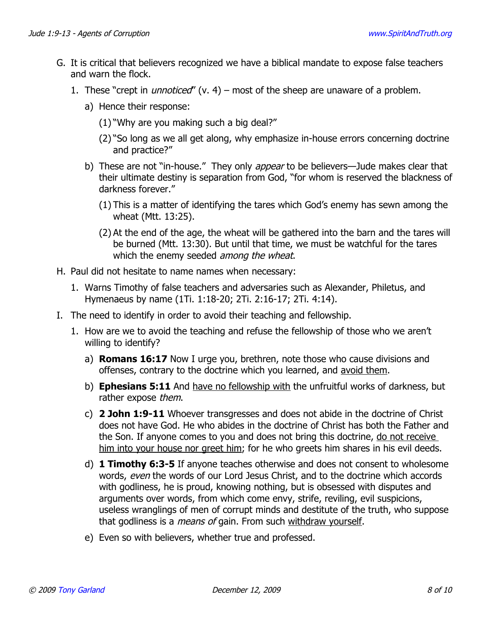- G. It is critical that believers recognized we have a biblical mandate to expose false teachers and warn the flock.
	- 1. These "crept in *unnoticed"* (v. 4) most of the sheep are unaware of a problem.
		- a) Hence their response:
			- (1) "Why are you making such a big deal?"
			- (2) "So long as we all get along, why emphasize in-house errors concerning doctrine and practice?"
		- b) These are not "in-house." They only appear to be believers—Jude makes clear that their ultimate destiny is separation from God, "for whom is reserved the blackness of darkness forever."
			- (1) This is a matter of identifying the tares which God's enemy has sewn among the wheat (Mtt. 13:25).
			- (2) At the end of the age, the wheat will be gathered into the barn and the tares will be burned (Mtt. 13:30). But until that time, we must be watchful for the tares which the enemy seeded among the wheat.
- H. Paul did not hesitate to name names when necessary:
	- 1. Warns Timothy of false teachers and adversaries such as Alexander, Philetus, and Hymenaeus by name (1Ti. 1:18-20; 2Ti. 2:16-17; 2Ti. 4:14).
- I. The need to identify in order to avoid their teaching and fellowship.
	- 1. How are we to avoid the teaching and refuse the fellowship of those who we aren't willing to identify?
		- a) **Romans 16:17** Now I urge you, brethren, note those who cause divisions and offenses, contrary to the doctrine which you learned, and avoid them.
		- b) **Ephesians 5:11** And have no fellowship with the unfruitful works of darkness, but rather expose them.
		- c) **2 John 1:9-11** Whoever transgresses and does not abide in the doctrine of Christ does not have God. He who abides in the doctrine of Christ has both the Father and the Son. If anyone comes to you and does not bring this doctrine, do not receive him into your house nor greet him; for he who greets him shares in his evil deeds.
		- d) **1 Timothy 6:3-5** If anyone teaches otherwise and does not consent to wholesome words, even the words of our Lord Jesus Christ, and to the doctrine which accords with godliness, he is proud, knowing nothing, but is obsessed with disputes and arguments over words, from which come envy, strife, reviling, evil suspicions, useless wranglings of men of corrupt minds and destitute of the truth, who suppose that godliness is a *means of* gain. From such withdraw yourself.
		- e) Even so with believers, whether true and professed.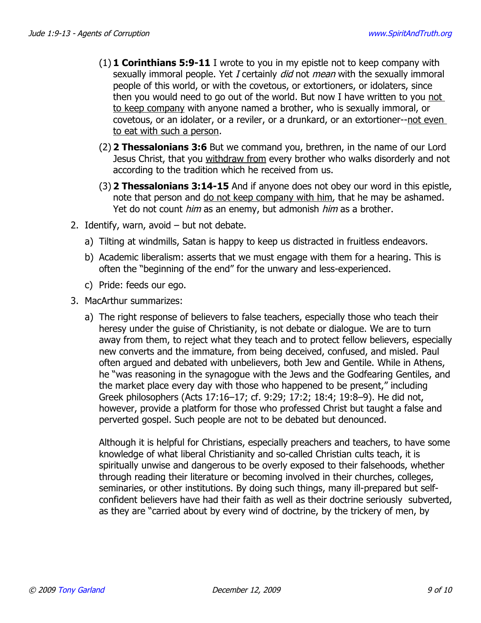- (1) **1 Corinthians 5:9-11** I wrote to you in my epistle not to keep company with sexually immoral people. Yet I certainly *did* not *mean* with the sexually immoral people of this world, or with the covetous, or extortioners, or idolaters, since then you would need to go out of the world. But now I have written to you not to keep company with anyone named a brother, who is sexually immoral, or covetous, or an idolater, or a reviler, or a drunkard, or an extortioner--not even to eat with such a person.
- (2) **2 Thessalonians 3:6** But we command you, brethren, in the name of our Lord Jesus Christ, that you withdraw from every brother who walks disorderly and not according to the tradition which he received from us.
- (3) **2 Thessalonians 3:14-15** And if anyone does not obey our word in this epistle, note that person and do not keep company with him, that he may be ashamed. Yet do not count him as an enemy, but admonish him as a brother.
- 2. Identify, warn, avoid but not debate.
	- a) Tilting at windmills, Satan is happy to keep us distracted in fruitless endeavors.
	- b) Academic liberalism: asserts that we must engage with them for a hearing. This is often the "beginning of the end" for the unwary and less-experienced.
	- c) Pride: feeds our ego.
- 3. MacArthur summarizes:
	- a) The right response of believers to false teachers, especially those who teach their heresy under the guise of Christianity, is not debate or dialogue. We are to turn away from them, to reject what they teach and to protect fellow believers, especially new converts and the immature, from being deceived, confused, and misled. Paul often argued and debated with unbelievers, both Jew and Gentile. While in Athens, he "was reasoning in the synagogue with the Jews and the Godfearing Gentiles, and the market place every day with those who happened to be present," including Greek philosophers (Acts 17:16–17; cf. 9:29; 17:2; 18:4; 19:8–9). He did not, however, provide a platform for those who professed Christ but taught a false and perverted gospel. Such people are not to be debated but denounced.

Although it is helpful for Christians, especially preachers and teachers, to have some knowledge of what liberal Christianity and so-called Christian cults teach, it is spiritually unwise and dangerous to be overly exposed to their falsehoods, whether through reading their literature or becoming involved in their churches, colleges, seminaries, or other institutions. By doing such things, many ill-prepared but selfconfident believers have had their faith as well as their doctrine seriously subverted, as they are "carried about by every wind of doctrine, by the trickery of men, by